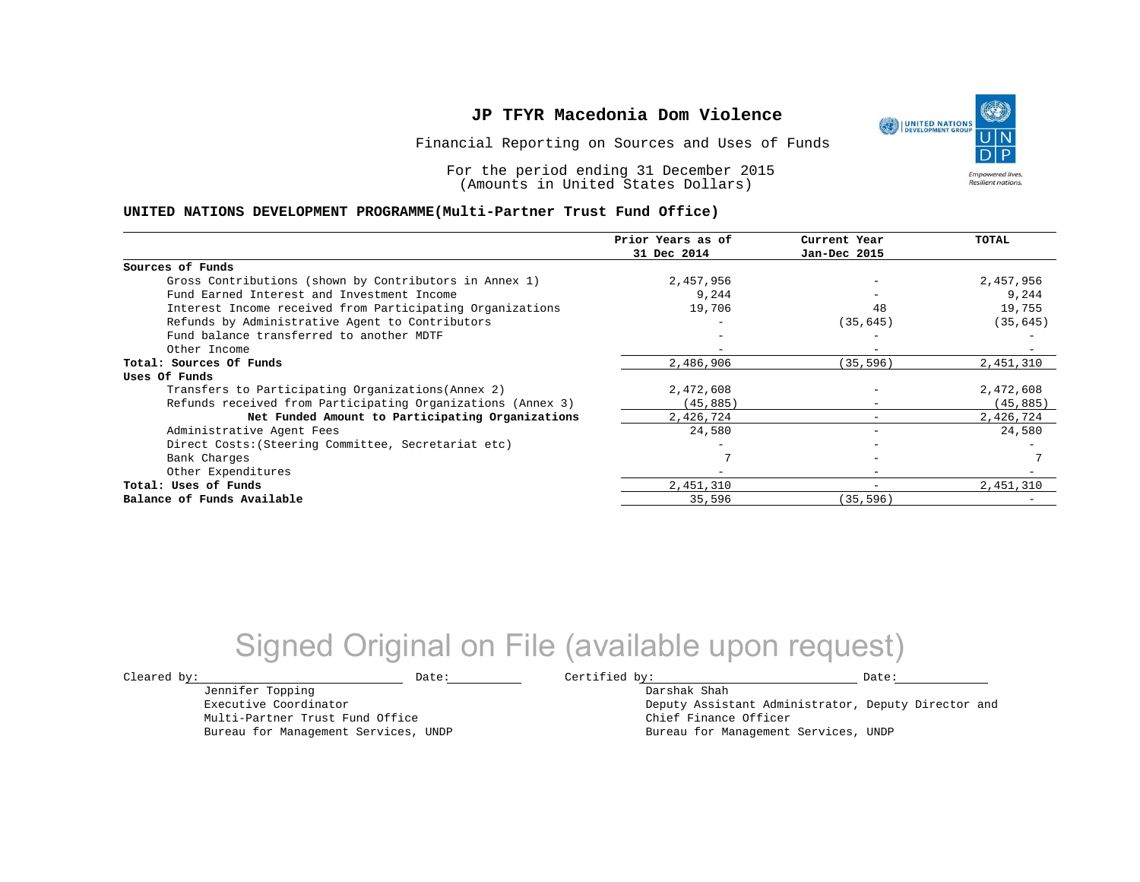Financial Reporting on Sources and Uses of Funds

For the period ending 31 December 2015 (Amounts in United States Dollars)

#### **UNITED NATIONS DEVELOPMENT PROGRAMME(Multi-Partner Trust Fund Office)**

|                                                             | Prior Years as of<br>31 Dec 2014 | Current Year<br>Jan-Dec 2015 | TOTAL     |
|-------------------------------------------------------------|----------------------------------|------------------------------|-----------|
|                                                             |                                  |                              |           |
| Sources of Funds                                            |                                  |                              |           |
| Gross Contributions (shown by Contributors in Annex 1)      | 2,457,956                        |                              | 2,457,956 |
| Fund Earned Interest and Investment Income                  | 9,244                            |                              | 9,244     |
| Interest Income received from Participating Organizations   | 19,706                           | 48                           | 19,755    |
| Refunds by Administrative Agent to Contributors             |                                  | (35, 645)                    | (35, 645) |
| Fund balance transferred to another MDTF                    |                                  |                              |           |
| Other Income                                                |                                  |                              |           |
| Total: Sources Of Funds                                     | 2,486,906                        | (35, 596)                    | 2,451,310 |
| Uses Of Funds                                               |                                  |                              |           |
| Transfers to Participating Organizations (Annex 2)          | 2,472,608                        |                              | 2,472,608 |
| Refunds received from Participating Organizations (Annex 3) | (45,885)                         | $\qquad \qquad -$            | (45, 885) |
| Net Funded Amount to Participating Organizations            | 2,426,724                        |                              | 2,426,724 |
| Administrative Agent Fees                                   | 24,580                           | -                            | 24,580    |
| Direct Costs: (Steering Committee, Secretariat etc)         |                                  |                              |           |
| Bank Charges                                                |                                  |                              |           |
| Other Expenditures                                          |                                  | $\overline{\phantom{a}}$     |           |
| Total: Uses of Funds                                        | 2,451,310                        | -                            | 2,451,310 |
| Balance of Funds Available                                  | 35,596                           | (35, 596)                    |           |

## Signed Original on File (available upon request)

Jennifer Topping Executive Coordinator Multi-Partner Trust Fund Office Bureau for Management Services, UNDP

 $\texttt{Cleared by:}\footnotesize \begin{minipage}{0.9\linewidth} \texttt{Date:}\footnotesize \begin{minipage}{0.9\linewidth} \texttt{Date:}\footnotesize \begin{minipage}{0.9\linewidth} \end{minipage} \end{minipage}$ 

Darshak Shah Deputy Assistant Administrator, Deputy Director and Chief Finance Officer Bureau for Management Services, UNDP

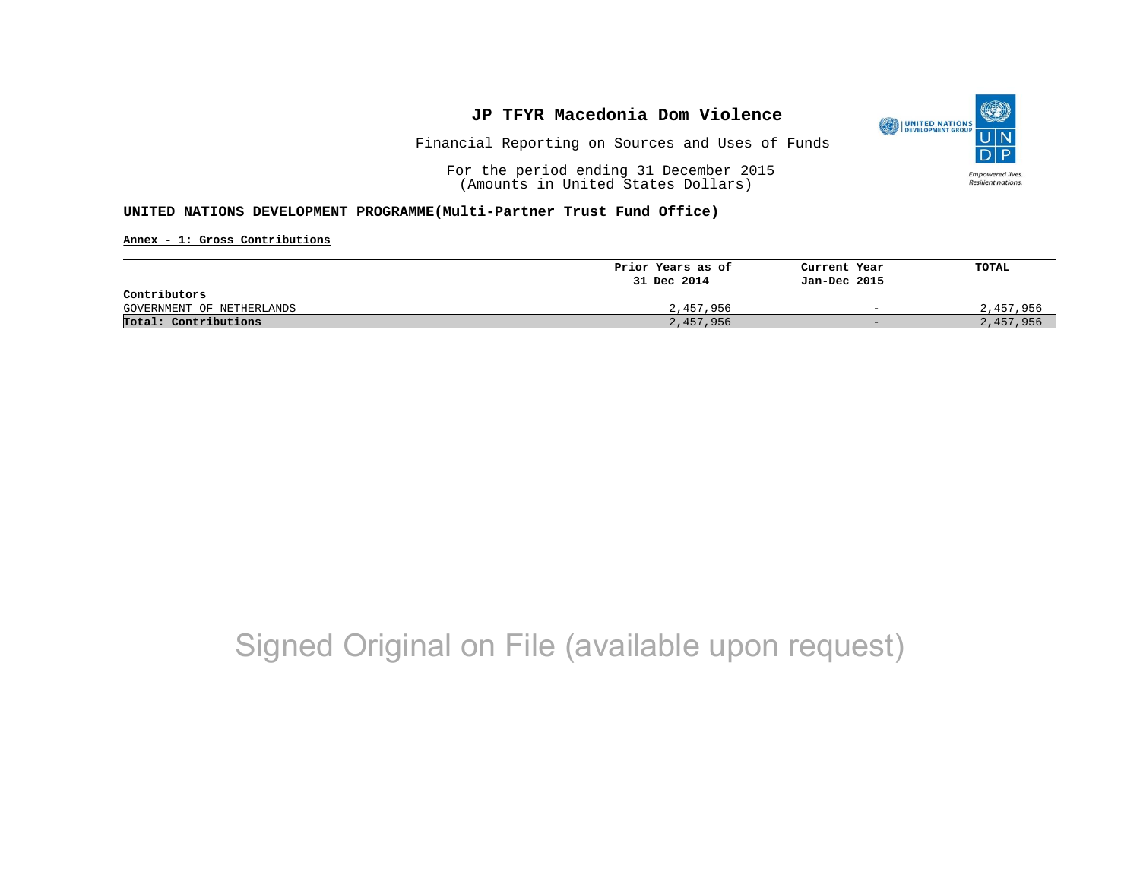

Financial Reporting on Sources and Uses of Funds

For the period ending 31 December 2015 (Amounts in United States Dollars)

#### **UNITED NATIONS DEVELOPMENT PROGRAMME(Multi-Partner Trust Fund Office)**

**Annex - 1: Gross Contributions**

|                           | Prior Years as of | Current Year             | TOTAL     |
|---------------------------|-------------------|--------------------------|-----------|
|                           | 31 Dec 2014       | Jan-Dec 2015             |           |
| Contributors              |                   |                          |           |
| GOVERNMENT OF NETHERLANDS | 2,457,956         | $\overline{\phantom{0}}$ | 2,457,956 |
| Total: Contributions      | 2,457,956         | $-$                      | 2,457,956 |

# Signed Original on File (available upon request)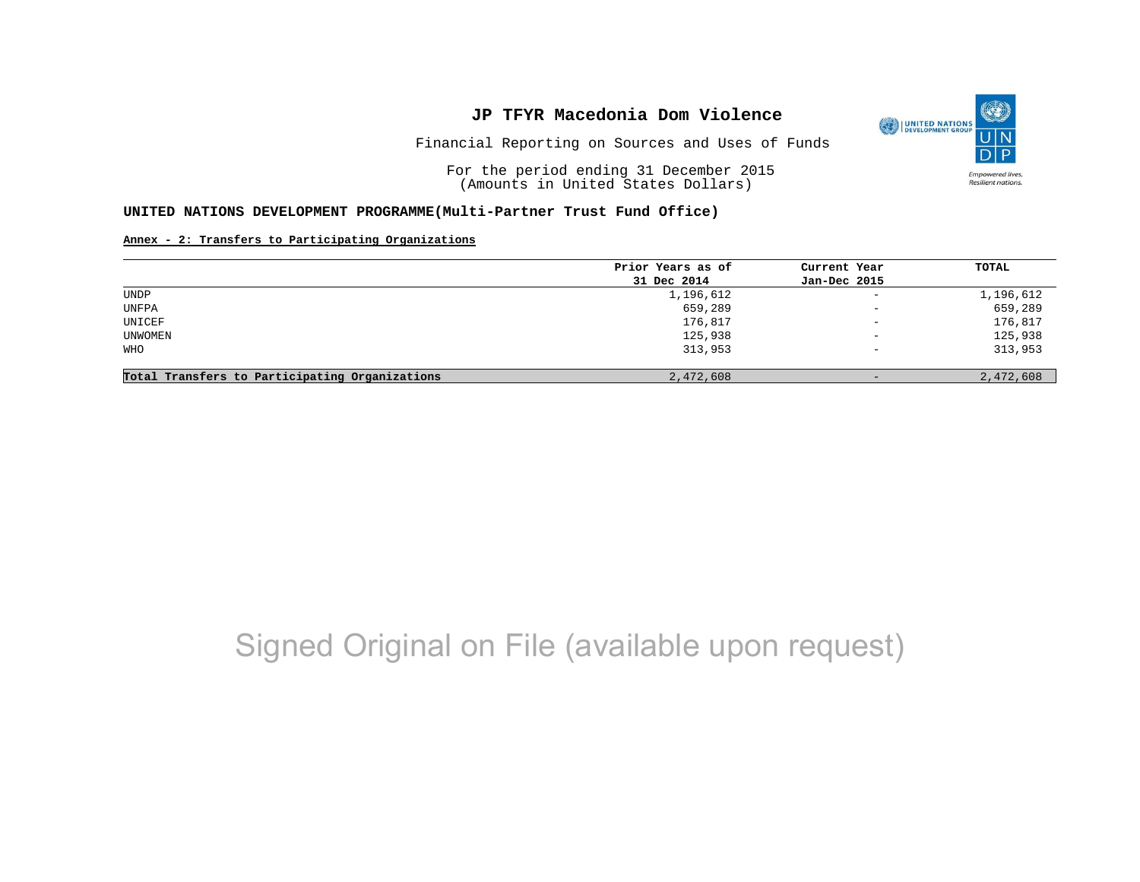Financial Reporting on Sources and Uses of Funds

For the period ending 31 December 2015 (Amounts in United States Dollars)

#### **UNITED NATIONS DEVELOPMENT PROGRAMME(Multi-Partner Trust Fund Office)**

#### **Annex - 2: Transfers to Participating Organizations**

|                                                | Prior Years as of | Current Year             | TOTAL     |
|------------------------------------------------|-------------------|--------------------------|-----------|
|                                                | 31 Dec 2014       | Jan-Dec 2015             |           |
| <b>UNDP</b>                                    | 1,196,612         | $\overline{\phantom{a}}$ | 1,196,612 |
| UNFPA                                          | 659,289           | $\equiv$                 | 659,289   |
| UNICEF                                         | 176,817           | $\overline{\phantom{0}}$ | 176,817   |
| UNWOMEN                                        | 125,938           | $\overline{\phantom{m}}$ | 125,938   |
| WHO                                            | 313,953           | $\overline{\phantom{0}}$ | 313,953   |
| Total Transfers to Participating Organizations | 2,472,608         | $-$                      | 2,472,608 |

# Signed Original on File (available upon request)